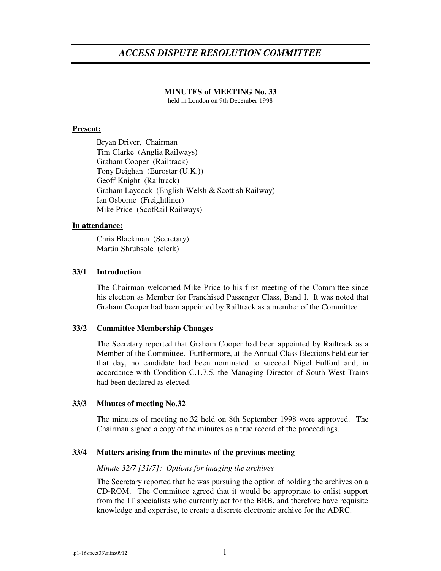# *ACCESS DISPUTE RESOLUTION COMMITTEE*

## **MINUTES of MEETING No. 33**

held in London on 9th December 1998

## **Present:**

Bryan Driver, Chairman Tim Clarke (Anglia Railways) Graham Cooper (Railtrack) Tony Deighan (Eurostar (U.K.)) Geoff Knight (Railtrack) Graham Laycock (English Welsh & Scottish Railway) Ian Osborne (Freightliner) Mike Price (ScotRail Railways)

## **In attendance:**

Chris Blackman (Secretary) Martin Shrubsole (clerk)

## **33/1 Introduction**

The Chairman welcomed Mike Price to his first meeting of the Committee since his election as Member for Franchised Passenger Class, Band I. It was noted that Graham Cooper had been appointed by Railtrack as a member of the Committee.

### **33/2 Committee Membership Changes**

The Secretary reported that Graham Cooper had been appointed by Railtrack as a Member of the Committee. Furthermore, at the Annual Class Elections held earlier that day, no candidate had been nominated to succeed Nigel Fulford and, in accordance with Condition C.1.7.5, the Managing Director of South West Trains had been declared as elected.

### **33/3 Minutes of meeting No.32**

The minutes of meeting no.32 held on 8th September 1998 were approved. The Chairman signed a copy of the minutes as a true record of the proceedings.

### **33/4 Matters arising from the minutes of the previous meeting**

### *Minute 32/7 [31/7]: Options for imaging the archives*

The Secretary reported that he was pursuing the option of holding the archives on a CD-ROM. The Committee agreed that it would be appropriate to enlist support from the IT specialists who currently act for the BRB, and therefore have requisite knowledge and expertise, to create a discrete electronic archive for the ADRC.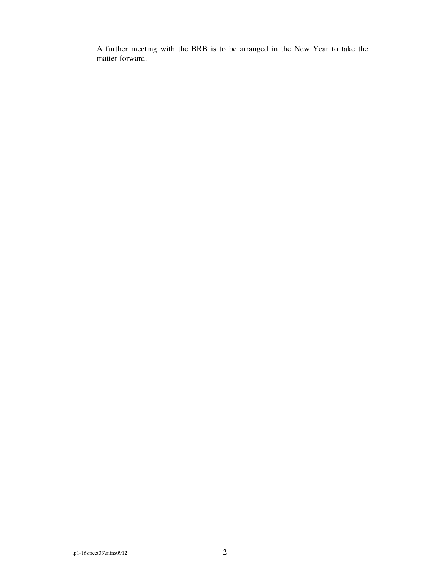A further meeting with the BRB is to be arranged in the New Year to take the matter forward.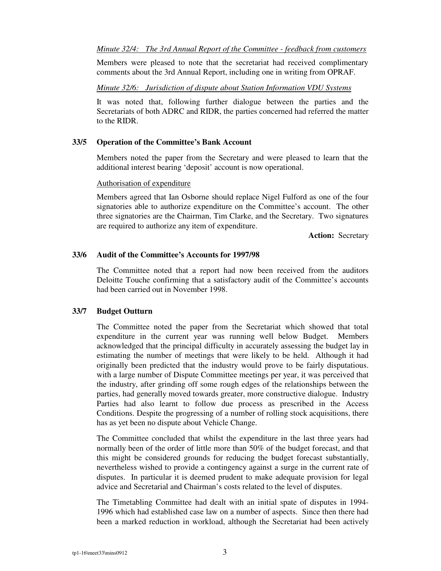#### *Minute 32/4: The 3rd Annual Report of the Committee - feedback from customers*

Members were pleased to note that the secretariat had received complimentary comments about the 3rd Annual Report, including one in writing from OPRAF.

#### *Minute 32/6: Jurisdiction of dispute about Station Information VDU Systems*

It was noted that, following further dialogue between the parties and the Secretariats of both ADRC and RIDR, the parties concerned had referred the matter to the RIDR.

#### **33/5 Operation of the Committee's Bank Account**

Members noted the paper from the Secretary and were pleased to learn that the additional interest bearing 'deposit' account is now operational.

#### Authorisation of expenditure

Members agreed that Ian Osborne should replace Nigel Fulford as one of the four signatories able to authorize expenditure on the Committee's account. The other three signatories are the Chairman, Tim Clarke, and the Secretary. Two signatures are required to authorize any item of expenditure.

**Action:** Secretary

#### **33/6 Audit of the Committee's Accounts for 1997/98**

The Committee noted that a report had now been received from the auditors Deloitte Touche confirming that a satisfactory audit of the Committee's accounts had been carried out in November 1998.

### **33/7 Budget Outturn**

The Committee noted the paper from the Secretariat which showed that total expenditure in the current year was running well below Budget. Members acknowledged that the principal difficulty in accurately assessing the budget lay in estimating the number of meetings that were likely to be held. Although it had originally been predicted that the industry would prove to be fairly disputatious. with a large number of Dispute Committee meetings per year, it was perceived that the industry, after grinding off some rough edges of the relationships between the parties, had generally moved towards greater, more constructive dialogue. Industry Parties had also learnt to follow due process as prescribed in the Access Conditions. Despite the progressing of a number of rolling stock acquisitions, there has as yet been no dispute about Vehicle Change.

The Committee concluded that whilst the expenditure in the last three years had normally been of the order of little more than 50% of the budget forecast, and that this might be considered grounds for reducing the budget forecast substantially, nevertheless wished to provide a contingency against a surge in the current rate of disputes. In particular it is deemed prudent to make adequate provision for legal advice and Secretarial and Chairman's costs related to the level of disputes.

The Timetabling Committee had dealt with an initial spate of disputes in 1994- 1996 which had established case law on a number of aspects. Since then there had been a marked reduction in workload, although the Secretariat had been actively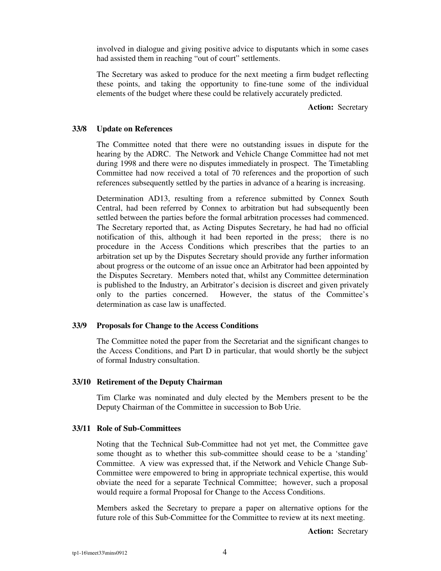involved in dialogue and giving positive advice to disputants which in some cases had assisted them in reaching "out of court" settlements.

The Secretary was asked to produce for the next meeting a firm budget reflecting these points, and taking the opportunity to fine-tune some of the individual elements of the budget where these could be relatively accurately predicted.

**Action:** Secretary

#### **33/8 Update on References**

The Committee noted that there were no outstanding issues in dispute for the hearing by the ADRC. The Network and Vehicle Change Committee had not met during 1998 and there were no disputes immediately in prospect. The Timetabling Committee had now received a total of 70 references and the proportion of such references subsequently settled by the parties in advance of a hearing is increasing.

Determination AD13, resulting from a reference submitted by Connex South Central, had been referred by Connex to arbitration but had subsequently been settled between the parties before the formal arbitration processes had commenced. The Secretary reported that, as Acting Disputes Secretary, he had had no official notification of this, although it had been reported in the press; there is no procedure in the Access Conditions which prescribes that the parties to an arbitration set up by the Disputes Secretary should provide any further information about progress or the outcome of an issue once an Arbitrator had been appointed by the Disputes Secretary. Members noted that, whilst any Committee determination is published to the Industry, an Arbitrator's decision is discreet and given privately only to the parties concerned. However, the status of the Committee's determination as case law is unaffected.

#### **33/9 Proposals for Change to the Access Conditions**

The Committee noted the paper from the Secretariat and the significant changes to the Access Conditions, and Part D in particular, that would shortly be the subject of formal Industry consultation.

#### **33/10 Retirement of the Deputy Chairman**

Tim Clarke was nominated and duly elected by the Members present to be the Deputy Chairman of the Committee in succession to Bob Urie.

#### **33/11 Role of Sub-Committees**

Noting that the Technical Sub-Committee had not yet met, the Committee gave some thought as to whether this sub-committee should cease to be a 'standing' Committee. A view was expressed that, if the Network and Vehicle Change Sub-Committee were empowered to bring in appropriate technical expertise, this would obviate the need for a separate Technical Committee; however, such a proposal would require a formal Proposal for Change to the Access Conditions.

Members asked the Secretary to prepare a paper on alternative options for the future role of this Sub-Committee for the Committee to review at its next meeting.

**Action:** Secretary